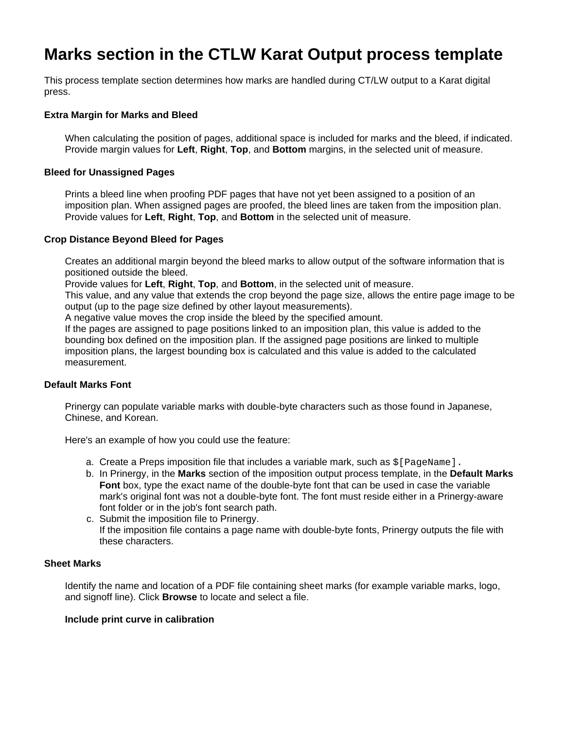# **Marks section in the CTLW Karat Output process template**

This process template section determines how marks are handled during CT/LW output to a Karat digital press.

## **Extra Margin for Marks and Bleed**

When calculating the position of pages, additional space is included for marks and the bleed, if indicated. Provide margin values for **Left**, **Right**, **Top**, and **Bottom** margins, in the selected unit of measure.

## **Bleed for Unassigned Pages**

Prints a bleed line when proofing PDF pages that have not yet been assigned to a position of an imposition plan. When assigned pages are proofed, the bleed lines are taken from the imposition plan. Provide values for **Left**, **Right**, **Top**, and **Bottom** in the selected unit of measure.

## **Crop Distance Beyond Bleed for Pages**

Creates an additional margin beyond the bleed marks to allow output of the software information that is positioned outside the bleed.

Provide values for **Left**, **Right**, **Top**, and **Bottom**, in the selected unit of measure.

This value, and any value that extends the crop beyond the page size, allows the entire page image to be output (up to the page size defined by other layout measurements).

A negative value moves the crop inside the bleed by the specified amount.

If the pages are assigned to page positions linked to an imposition plan, this value is added to the bounding box defined on the imposition plan. If the assigned page positions are linked to multiple imposition plans, the largest bounding box is calculated and this value is added to the calculated measurement.

## **Default Marks Font**

Prinergy can populate variable marks with double-byte characters such as those found in Japanese, Chinese, and Korean.

Here's an example of how you could use the feature:

- a. Create a Preps imposition file that includes a variable mark, such as \$[PageName].
- b. In Prinergy, in the **Marks** section of the imposition output process template, in the **Default Marks Font** box, type the exact name of the double-byte font that can be used in case the variable mark's original font was not a double-byte font. The font must reside either in a Prinergy-aware font folder or in the job's font search path.
- c. Submit the imposition file to Prinergy. If the imposition file contains a page name with double-byte fonts, Prinergy outputs the file with these characters.

#### **Sheet Marks**

Identify the name and location of a PDF file containing sheet marks (for example variable marks, logo, and signoff line). Click **Browse** to locate and select a file.

#### **Include print curve in calibration**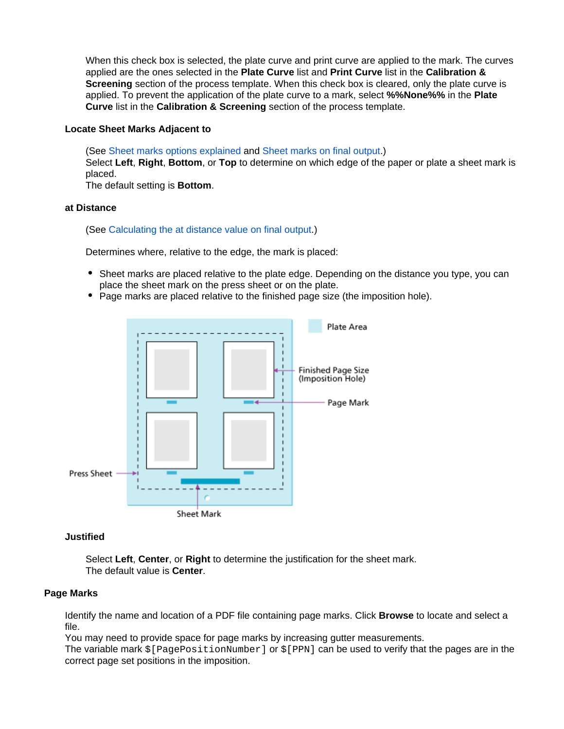When this check box is selected, the plate curve and print curve are applied to the mark. The curves applied are the ones selected in the **Plate Curve** list and **Print Curve** list in the **Calibration & Screening** section of the process template. When this check box is cleared, only the plate curve is applied. To prevent the application of the plate curve to a mark, select **%%None%%** in the **Plate Curve** list in the **Calibration & Screening** section of the process template.

## **Locate Sheet Marks Adjacent to**

(See [Sheet marks options explained](https://workflowhelp.kodak.com/display/PRIN/Sheet+marks+options+explained) and [Sheet marks on final output.](https://workflowhelp.kodak.com/display/PRIN/Sheet+marks+on+final+output)) Select **Left**, **Right**, **Bottom**, or **Top** to determine on which edge of the paper or plate a sheet mark is placed. The default setting is **Bottom**.

# **at Distance**

## (See [Calculating the at distance value on final output](https://workflowhelp.kodak.com/display/PRIN/Calculating+the+at+distance+value+on+final+output).)

Determines where, relative to the edge, the mark is placed:

- Sheet marks are placed relative to the plate edge. Depending on the distance you type, you can place the sheet mark on the press sheet or on the plate.
- Page marks are placed relative to the finished page size (the imposition hole).



## **Justified**

Select **Left**, **Center**, or **Right** to determine the justification for the sheet mark. The default value is **Center**.

## **Page Marks**

Identify the name and location of a PDF file containing page marks. Click **Browse** to locate and select a file.

You may need to provide space for page marks by increasing gutter measurements.

The variable mark  $$[PagePositionNumber]$  or  $$[PPN]$  can be used to verify that the pages are in the correct page set positions in the imposition.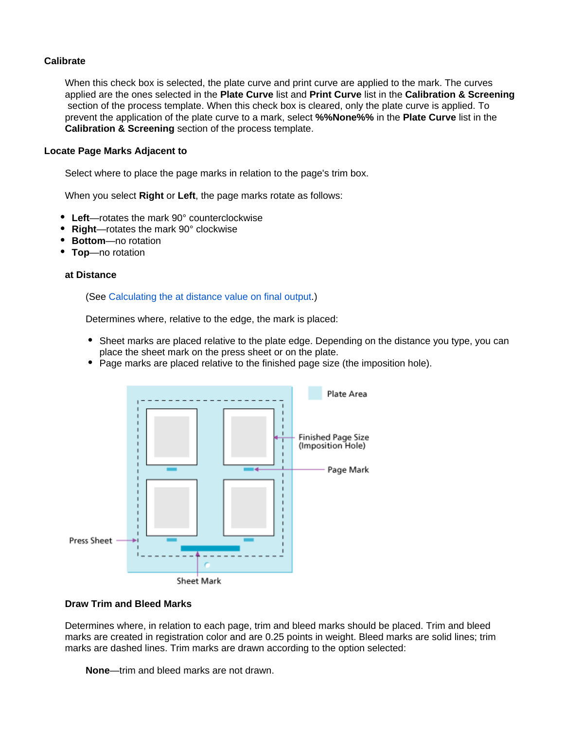# **Calibrate**

When this check box is selected, the plate curve and print curve are applied to the mark. The curves applied are the ones selected in the **Plate Curve** list and **Print Curve** list in the **Calibration & Screening** section of the process template. When this check box is cleared, only the plate curve is applied. To prevent the application of the plate curve to a mark, select **%%None%%** in the **Plate Curve** list in the **Calibration & Screening** section of the process template.

## **Locate Page Marks Adjacent to**

Select where to place the page marks in relation to the page's trim box.

When you select **Right** or **Left**, the page marks rotate as follows:

- **Left**—rotates the mark 90° counterclockwise
- **Right**—rotates the mark 90° clockwise
- **Bottom**—no rotation
- **Top**—no rotation

## **at Distance**

## (See [Calculating the at distance value on final output](https://workflowhelp.kodak.com/display/PRIN/Calculating+the+at+distance+value+on+final+output).)

Determines where, relative to the edge, the mark is placed:

- Sheet marks are placed relative to the plate edge. Depending on the distance you type, you can place the sheet mark on the press sheet or on the plate.
- Page marks are placed relative to the finished page size (the imposition hole).



## **Draw Trim and Bleed Marks**

Determines where, in relation to each page, trim and bleed marks should be placed. Trim and bleed marks are created in registration color and are 0.25 points in weight. Bleed marks are solid lines; trim marks are dashed lines. Trim marks are drawn according to the option selected:

**None**—trim and bleed marks are not drawn.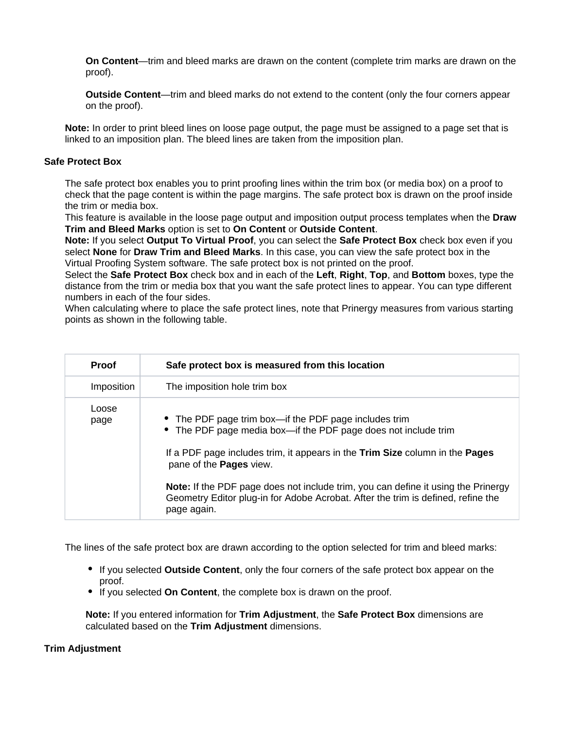**On Content**—trim and bleed marks are drawn on the content (complete trim marks are drawn on the proof).

**Outside Content**—trim and bleed marks do not extend to the content (only the four corners appear on the proof).

**Note:** In order to print bleed lines on loose page output, the page must be assigned to a page set that is linked to an imposition plan. The bleed lines are taken from the imposition plan.

## **Safe Protect Box**

The safe protect box enables you to print proofing lines within the trim box (or media box) on a proof to check that the page content is within the page margins. The safe protect box is drawn on the proof inside the trim or media box.

This feature is available in the loose page output and imposition output process templates when the **Draw Trim and Bleed Marks** option is set to **On Content** or **Outside Content**.

**Note:** If you select **Output To Virtual Proof**, you can select the **Safe Protect Box** check box even if you select **None** for **Draw Trim and Bleed Marks**. In this case, you can view the safe protect box in the Virtual Proofing System software. The safe protect box is not printed on the proof.

Select the **Safe Protect Box** check box and in each of the **Left**, **Right**, **Top**, and **Bottom** boxes, type the distance from the trim or media box that you want the safe protect lines to appear. You can type different numbers in each of the four sides.

When calculating where to place the safe protect lines, note that Prinergy measures from various starting points as shown in the following table.

| <b>Proof</b>  | Safe protect box is measured from this location                                                                                                                                                                                                                                                                                                                                                                                          |
|---------------|------------------------------------------------------------------------------------------------------------------------------------------------------------------------------------------------------------------------------------------------------------------------------------------------------------------------------------------------------------------------------------------------------------------------------------------|
| Imposition    | The imposition hole trim box                                                                                                                                                                                                                                                                                                                                                                                                             |
| Loose<br>page | • The PDF page trim box—if the PDF page includes trim<br>• The PDF page media box—if the PDF page does not include trim<br>If a PDF page includes trim, it appears in the Trim Size column in the Pages<br>pane of the <b>Pages</b> view.<br><b>Note:</b> If the PDF page does not include trim, you can define it using the Prinergy<br>Geometry Editor plug-in for Adobe Acrobat. After the trim is defined, refine the<br>page again. |

The lines of the safe protect box are drawn according to the option selected for trim and bleed marks:

- If you selected **Outside Content**, only the four corners of the safe protect box appear on the proof.
- If you selected **On Content**, the complete box is drawn on the proof.

**Note:** If you entered information for **Trim Adjustment**, the **Safe Protect Box** dimensions are calculated based on the **Trim Adjustment** dimensions.

## **Trim Adjustment**